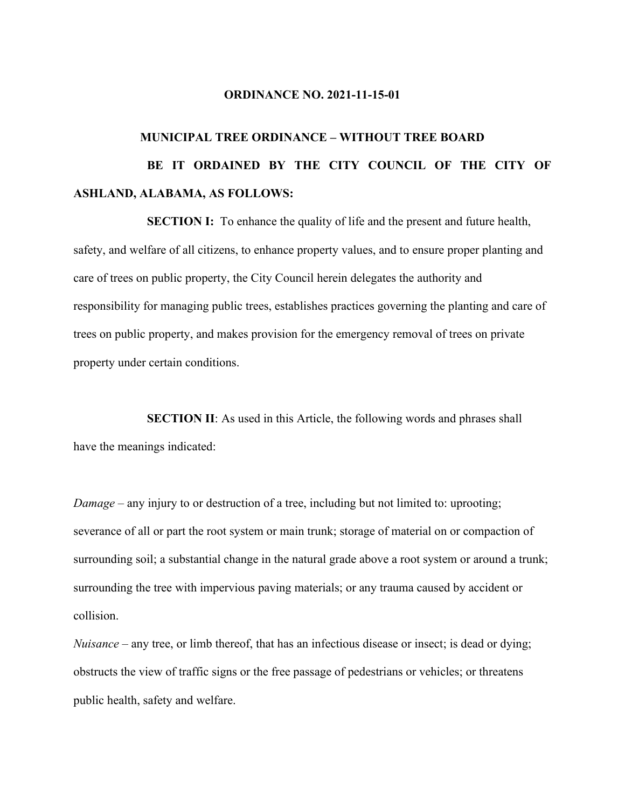#### **ORDINANCE NO. 2021-11-15-01**

# **MUNICIPAL TREE ORDINANCE – WITHOUT TREE BOARD BE IT ORDAINED BY THE CITY COUNCIL OF THE CITY OF ASHLAND, ALABAMA, AS FOLLOWS:**

**SECTION I:** To enhance the quality of life and the present and future health, safety, and welfare of all citizens, to enhance property values, and to ensure proper planting and care of trees on public property, the City Council herein delegates the authority and responsibility for managing public trees, establishes practices governing the planting and care of trees on public property, and makes provision for the emergency removal of trees on private property under certain conditions.

**SECTION II:** As used in this Article, the following words and phrases shall have the meanings indicated:

*Damage* – any injury to or destruction of a tree, including but not limited to: uprooting; severance of all or part the root system or main trunk; storage of material on or compaction of surrounding soil; a substantial change in the natural grade above a root system or around a trunk; surrounding the tree with impervious paving materials; or any trauma caused by accident or collision.

*Nuisance* – any tree, or limb thereof, that has an infectious disease or insect; is dead or dying; obstructs the view of traffic signs or the free passage of pedestrians or vehicles; or threatens public health, safety and welfare.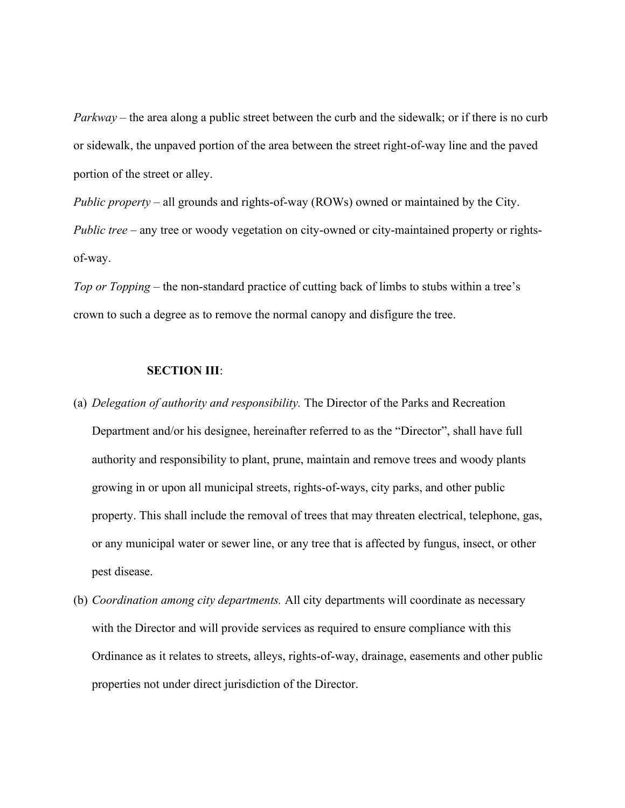*Parkway* – the area along a public street between the curb and the sidewalk; or if there is no curb or sidewalk, the unpaved portion of the area between the street right-of-way line and the paved portion of the street or alley.

*Public property* – all grounds and rights-of-way (ROWs) owned or maintained by the City. *Public tree* – any tree or woody vegetation on city-owned or city-maintained property or rightsof-way.

*Top or Topping* – the non-standard practice of cutting back of limbs to stubs within a tree's crown to such a degree as to remove the normal canopy and disfigure the tree.

#### **SECTION III**:

- (a) *Delegation of authority and responsibility.* The Director of the Parks and Recreation Department and/or his designee, hereinafter referred to as the "Director", shall have full authority and responsibility to plant, prune, maintain and remove trees and woody plants growing in or upon all municipal streets, rights-of-ways, city parks, and other public property. This shall include the removal of trees that may threaten electrical, telephone, gas, or any municipal water or sewer line, or any tree that is affected by fungus, insect, or other pest disease.
- (b) *Coordination among city departments.* All city departments will coordinate as necessary with the Director and will provide services as required to ensure compliance with this Ordinance as it relates to streets, alleys, rights-of-way, drainage, easements and other public properties not under direct jurisdiction of the Director.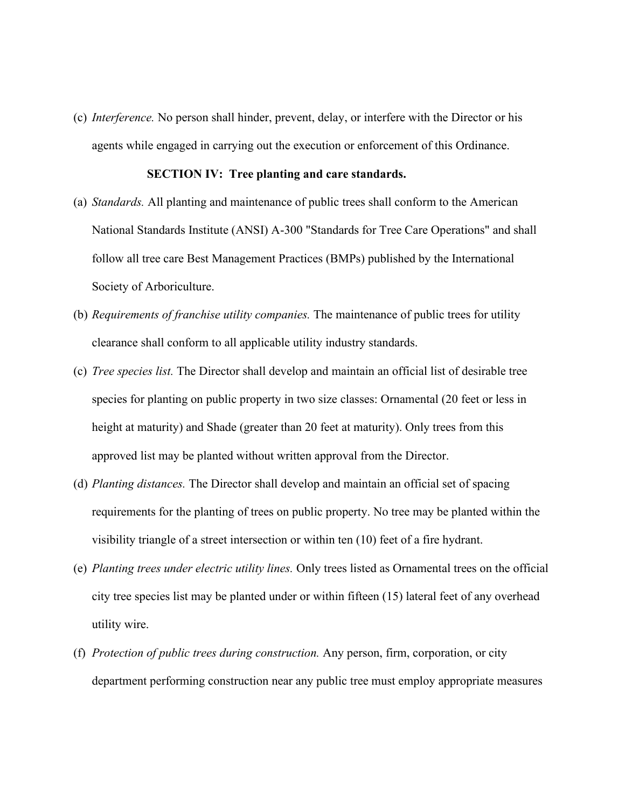(c) *Interference.* No person shall hinder, prevent, delay, or interfere with the Director or his agents while engaged in carrying out the execution or enforcement of this Ordinance.

#### **SECTION IV: Tree planting and care standards.**

- (a) *Standards.* All planting and maintenance of public trees shall conform to the American National Standards Institute (ANSI) A-300 "Standards for Tree Care Operations" and shall follow all tree care Best Management Practices (BMPs) published by the International Society of Arboriculture.
- (b) *Requirements of franchise utility companies.* The maintenance of public trees for utility clearance shall conform to all applicable utility industry standards.
- (c) *Tree species list.* The Director shall develop and maintain an official list of desirable tree species for planting on public property in two size classes: Ornamental (20 feet or less in height at maturity) and Shade (greater than 20 feet at maturity). Only trees from this approved list may be planted without written approval from the Director.
- (d) *Planting distances.* The Director shall develop and maintain an official set of spacing requirements for the planting of trees on public property. No tree may be planted within the visibility triangle of a street intersection or within ten (10) feet of a fire hydrant.
- (e) *Planting trees under electric utility lines.* Only trees listed as Ornamental trees on the official city tree species list may be planted under or within fifteen (15) lateral feet of any overhead utility wire.
- (f) *Protection of public trees during construction.* Any person, firm, corporation, or city department performing construction near any public tree must employ appropriate measures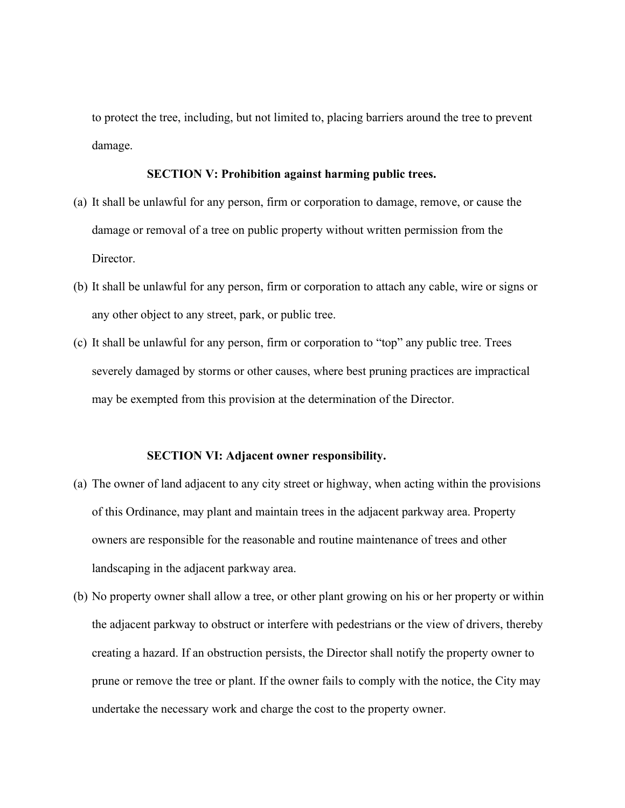to protect the tree, including, but not limited to, placing barriers around the tree to prevent damage.

#### **SECTION V: Prohibition against harming public trees.**

- (a) It shall be unlawful for any person, firm or corporation to damage, remove, or cause the damage or removal of a tree on public property without written permission from the Director.
- (b) It shall be unlawful for any person, firm or corporation to attach any cable, wire or signs or any other object to any street, park, or public tree.
- (c) It shall be unlawful for any person, firm or corporation to "top" any public tree. Trees severely damaged by storms or other causes, where best pruning practices are impractical may be exempted from this provision at the determination of the Director.

#### **SECTION VI: Adjacent owner responsibility.**

- (a) The owner of land adjacent to any city street or highway, when acting within the provisions of this Ordinance, may plant and maintain trees in the adjacent parkway area. Property owners are responsible for the reasonable and routine maintenance of trees and other landscaping in the adjacent parkway area.
- (b) No property owner shall allow a tree, or other plant growing on his or her property or within the adjacent parkway to obstruct or interfere with pedestrians or the view of drivers, thereby creating a hazard. If an obstruction persists, the Director shall notify the property owner to prune or remove the tree or plant. If the owner fails to comply with the notice, the City may undertake the necessary work and charge the cost to the property owner.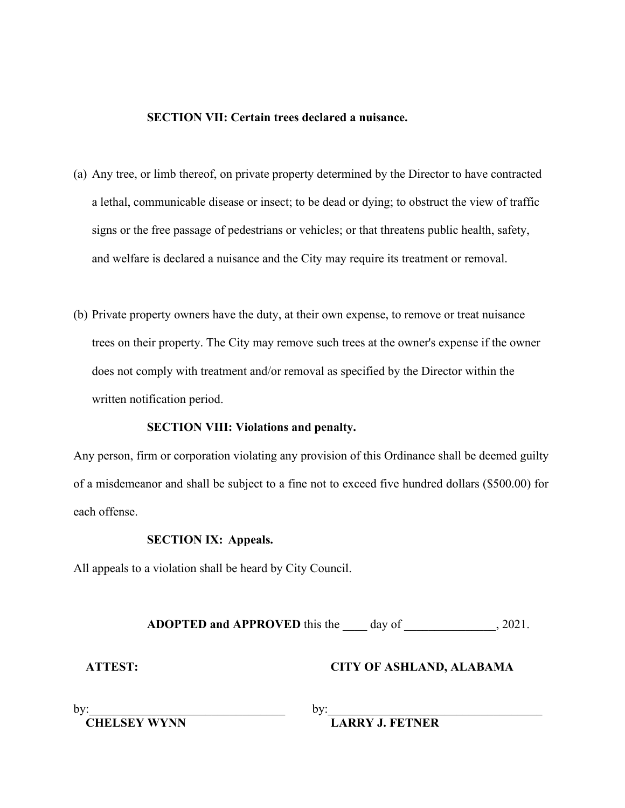#### **SECTION VII: Certain trees declared a nuisance.**

- (a) Any tree, or limb thereof, on private property determined by the Director to have contracted a lethal, communicable disease or insect; to be dead or dying; to obstruct the view of traffic signs or the free passage of pedestrians or vehicles; or that threatens public health, safety, and welfare is declared a nuisance and the City may require its treatment or removal.
- (b) Private property owners have the duty, at their own expense, to remove or treat nuisance trees on their property. The City may remove such trees at the owner's expense if the owner does not comply with treatment and/or removal as specified by the Director within the written notification period.

#### **SECTION VIII: Violations and penalty.**

Any person, firm or corporation violating any provision of this Ordinance shall be deemed guilty of a misdemeanor and shall be subject to a fine not to exceed five hundred dollars (\$500.00) for each offense.

#### **SECTION IX: Appeals.**

All appeals to a violation shall be heard by City Council.

**ADOPTED and APPROVED** this the day of . 2021.

### **ATTEST: CITY OF ASHLAND, ALABAMA**

by:  $\Box$ 

 **CHELSEY WYNN LARRY J. FETNER**